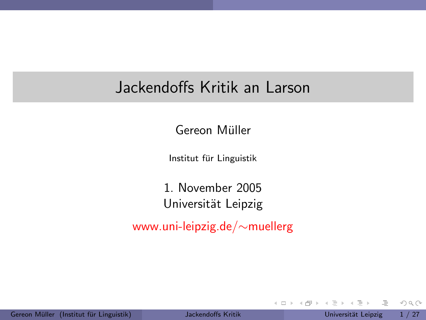#### Jackendoffs Kritik an Larson

Gereon Müller

Institut für Linguistik

1. November 2005 Universität Leipzig

www.uni-leipzig.de/∼muellerg

<span id="page-0-0"></span> $\equiv$ 

 $OQ$ 

 $\left\{ \begin{array}{ccc} 1 & 0 & 0 \\ 0 & 1 & 0 \end{array} \right\}$  ,  $\left\{ \begin{array}{ccc} 0 & 0 & 0 \\ 0 & 0 & 0 \end{array} \right\}$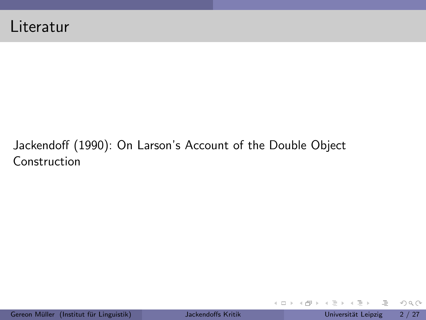#### Jackendoff (1990): On Larson's Account of the Double Object Construction

 $\Xi \rightarrow -4$  $\equiv$ 

- ← ロ ト → 印 ト →

 $\equiv$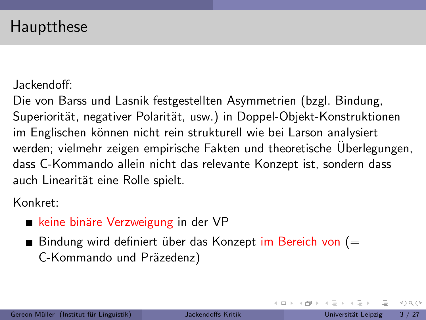#### Hauptthese

Jackendoff:

Die von Barss und Lasnik festgestellten Asymmetrien (bzgl. Bindung, Superiorität, negativer Polarität, usw.) in Doppel-Objekt-Konstruktionen im Englischen können nicht rein strukturell wie bei Larson analysiert werden; vielmehr zeigen empirische Fakten und theoretische Überlegungen, dass C-Kommando allein nicht das relevante Konzept ist, sondern dass auch Linearität eine Rolle spielt.

Konkret:

■ keine binäre Verzweigung in der VP

Bindung wird definiert über das Konzept im Bereich von  $(=$ C-Kommando und Präzedenz)

 $OQ$ 

国際 トイラト イラ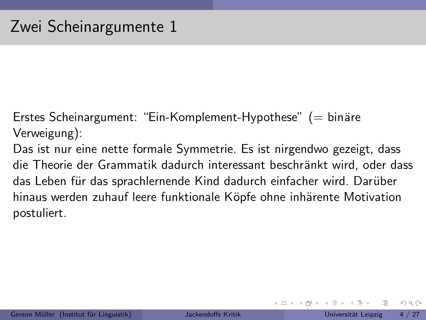Erstes Scheinargument: "Ein-Komplement-Hypothese"  $(=$  binäre Verweigung):

Das ist nur eine nette formale Symmetrie. Es ist nirgendwo gezeigt, dass die Theorie der Grammatik dadurch interessant beschränkt wird, oder dass das Leben für das sprachlernende Kind dadurch einfacher wird. Darüber hinaus werden zuhauf leere funktionale Köpfe ohne inhärente Motivation postuliert.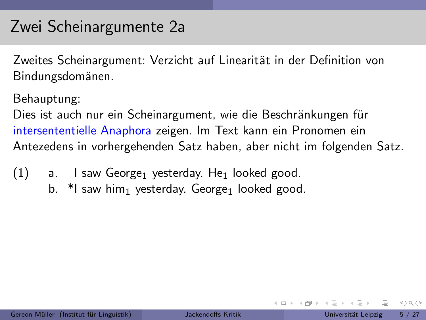### Zwei Scheinargumente 2a

Zweites Scheinargument: Verzicht auf Linearität in der Definition von Bindungsdomänen.

Behauptung:

Dies ist auch nur ein Scheinargument, wie die Beschränkungen für intersententielle Anaphora zeigen. Im Text kann ein Pronomen ein Antezedens in vorhergehenden Satz haben, aber nicht im folgenden Satz.

- $(1)$  a. I saw George<sub>1</sub> yesterday. He<sub>1</sub> looked good.
	- b.  $*$ I saw him<sub>1</sub> yesterday. George<sub>1</sub> looked good.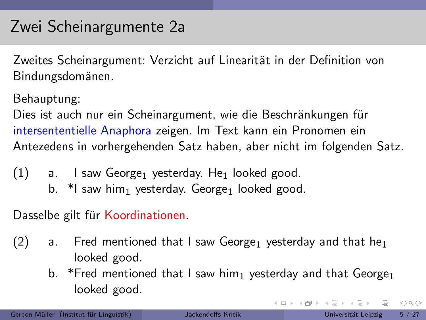## Zwei Scheinargumente 2a

Zweites Scheinargument: Verzicht auf Linearität in der Definition von Bindungsdomänen.

Behauptung:

Dies ist auch nur ein Scheinargument, wie die Beschränkungen für intersententielle Anaphora zeigen. Im Text kann ein Pronomen ein Antezedens in vorhergehenden Satz haben, aber nicht im folgenden Satz.

- $(1)$  a. I saw George<sub>1</sub> yesterday. He<sub>1</sub> looked good.
	- b.  $*$ I saw him<sub>1</sub> yesterday. George<sub>1</sub> looked good.

Dasselbe gilt für Koordinationen.

- $(2)$  a. Fred mentioned that I saw George<sub>1</sub> yesterday and that he<sub>1</sub> looked good.
	- b. \*Fred mentioned that I saw him<sub>1</sub> yesterday and that George<sub>1</sub> looked good.

 $OQ$ 

 $\left\{ \begin{array}{ccc} 1 & 0 & 0 \\ 0 & 1 & 0 \end{array} \right\}$  ,  $\left\{ \begin{array}{ccc} 0 & 0 & 0 \\ 0 & 0 & 0 \end{array} \right\}$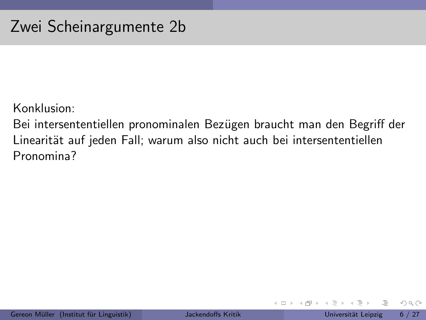Konklusion:

Bei intersententiellen pronominalen Bezügen braucht man den Begriff der Linearität auf jeden Fall; warum also nicht auch bei intersententiellen Pronomina?

 $\leftarrow$   $\Box$   $\rightarrow$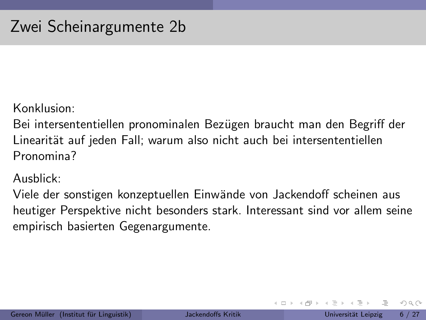Konklusion:

Bei intersententiellen pronominalen Bezügen braucht man den Begriff der Linearität auf jeden Fall; warum also nicht auch bei intersententiellen Pronomina?

Ausblick:

Viele der sonstigen konzeptuellen Einwände von Jackendoff scheinen aus heutiger Perspektive nicht besonders stark. Interessant sind vor allem seine empirisch basierten Gegenargumente.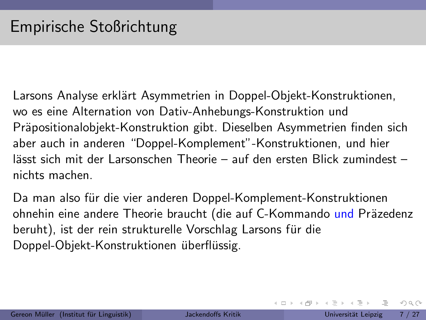Larsons Analyse erklärt Asymmetrien in Doppel-Objekt-Konstruktionen, wo es eine Alternation von Dativ-Anhebungs-Konstruktion und Präpositionalobjekt-Konstruktion gibt. Dieselben Asymmetrien finden sich aber auch in anderen "Doppel-Komplement"-Konstruktionen, und hier lässt sich mit der Larsonschen Theorie – auf den ersten Blick zumindest – nichts machen.

Da man also für die vier anderen Doppel-Komplement-Konstruktionen ohnehin eine andere Theorie braucht (die auf C-Kommando und Präzedenz beruht), ist der rein strukturelle Vorschlag Larsons für die Doppel-Objekt-Konstruktionen überflüssig.

 $OQ$ 

 $\left\{ \begin{array}{ccc} 1 & 0 & 0 \\ 0 & 1 & 0 \end{array} \right\}$  ,  $\left\{ \begin{array}{ccc} 0 & 0 & 0 \\ 0 & 0 & 0 \end{array} \right\}$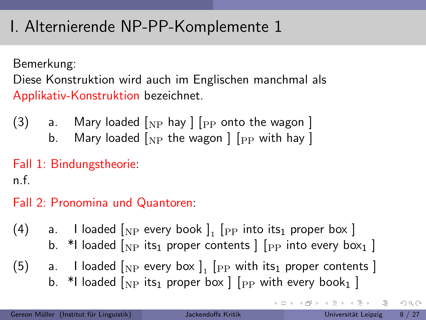Bemerkung:

Diese Konstruktion wird auch im Englischen manchmal als Applikativ-Konstruktion bezeichnet.

- (3) a. Mary loaded  $\lceil_{\text{NP}}$  hay  $\rceil$   $\lceil_{\text{PP}}$  onto the wagon  $\rceil$ 
	- b. Mary loaded  $\lceil_{\text{NP}}$  the wagon  $\rceil$   $\lceil_{\text{PP}}$  with hay  $\rceil$

Fall 1: Bindungstheorie:

n.f.

Fall 2: Pronomina und Quantoren:

- (4)  $\quad$  a.  $\;$  I loaded  $\left[_\mathrm{NP}\right.$  every book  $\left]_\mathrm{1}\right.\left[\mathrm{_{PP}}\right.$  into its $_\mathrm{1}$  proper box  $\left.\right]$ b. \*I loaded  $N_P$  its<sub>1</sub> proper contents  $\lceil P_P \rceil$  into every box<sub>1</sub> ]
- (5)  $\quad$  a.  $\quad$  I loaded  $\left[\begin{smallmatrix}N\end{smallmatrix}\right]$  every box  $\left.\begin{smallmatrix}1\end{smallmatrix}\right]$   $\left[\begin{smallmatrix}P\end{smallmatrix}\right]$  with its $_1$  proper contents  $\left.\begin{smallmatrix}1\end{smallmatrix}\right]$ b. \*I loaded  $\lceil_{\text{NP}}\right.$  its<sub>1</sub> proper box  $\lceil$   $\lceil_{\text{PP}}\right.$  with every book<sub>1</sub>  $\rceil$

 $OQ$ 

イロト イ部 トイヨト イヨト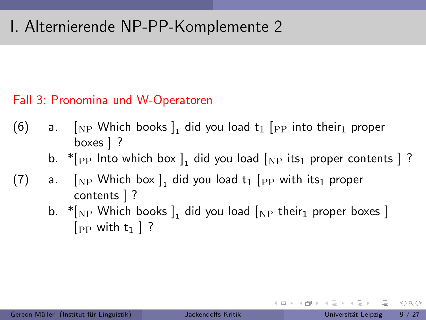#### Fall 3: Pronomina und W-Operatoren

- (6) a.  $\left[ \begin{smallmatrix} 0 & \text{N} \end{smallmatrix} \right]$  and  $\left[ \begin{smallmatrix} 0 & \text{N} \end{smallmatrix} \right]$  and  $\left[ \begin{smallmatrix} 0 & \text{N} \end{smallmatrix} \right]$  and  $\left[ \begin{smallmatrix} 0 & \text{N} \end{smallmatrix} \right]$  and  $\left[ \begin{smallmatrix} 0 & \text{N} \end{smallmatrix} \right]$  and  $\left[ \begin{smallmatrix} 0 & \text{N} \end{smallmatrix} \right]$  and  $\left[ \begin{smallmatrix} 0 & \text{$ boxes ] ?
	- b.  $\ast$ [ $_{\rm PP}$  Into which box ], did you load [ $_{\rm NP}$  its $_1$  proper contents ] ?
- $(7)$  a.  $\left[\begin{smallmatrix} 0 & \begin{bmatrix} 0 & \begin{bmatrix} 0 & \begin{bmatrix} 0 & \begin{bmatrix} 0 & \end{bmatrix} \end{bmatrix} & \begin{bmatrix} 0 & \begin{bmatrix} 0 & \begin{bmatrix} 0 & \end{bmatrix} & \begin{bmatrix} 0 & \begin{bmatrix} 0 & \begin{bmatrix} 0 & \end{bmatrix} & \begin{bmatrix} 0 & \begin{bmatrix} 0 & \begin{bmatrix} 0 & \end{bmatrix} & \begin{bmatrix} 0 & \begin{bmatrix} 0 & \begin{bmatrix} 0 & \end{bmatrix} & \begin{bmatrix} 0 & \begin{bmatrix}$ contents ] ?
	- b.  $\cdot \parallel_{\mathrm{NP}}$  Which books  $]_{1}$  did you load  $[_{\mathrm{NP}}$  their $_{1}$  proper boxes  $]$  $[$ <sub>PP</sub> with  $t_1$   $]$  ?

イロト イ母 トイラト イラトー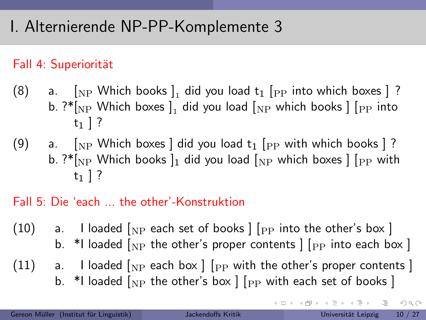#### Fall 4: Superiorität

- (8) a.  $\Box$  [NP Which books  $\Box$  did you load  $t_1$  [PP into which boxes ] ? b. ? $^*{\rm l_{NP}}$  Which boxes  ${\rm J_1}$  did you load  ${\rm l_{NP}}$  which books  ${\rm J}$   ${\rm l_{PP}}$  into  $t_1$  | ?
- (9) a.  $\lceil N_P \rceil$  Which boxes did you load  $t_1$   $\lceil P_P \rceil$  with which books  $\lceil ? \rceil$ b. ?\* $\lceil_{\rm NP}$  Which books  $\lceil_1$  did you load  $\lceil_{\rm NP}$  which boxes  $\lceil \lceil_{\rm PP}$  with  $t_1$  | ?

#### Fall 5: Die 'each ... the other'-Konstruktion

- (10) a. I loaded  $\lceil_{\text{NP}}$  each set of books  $\lceil \text{pp} \rceil$  into the other's box  $\lceil$ b. \*I loaded  $\lceil_{\text{NP}}$  the other's proper contents  $\lceil \cdot \rceil$  [PP into each box ]
- $(11)$  a. I loaded  $_{\rm NP}$  each box  $\vert$  [<sub>PP</sub> with the other's proper contents ] b. \*I loaded  $\begin{bmatrix} N_P \end{bmatrix}$  the other's box  $\begin{bmatrix} P_P \end{bmatrix}$  with each set of books  $\begin{bmatrix} P_P \end{bmatrix}$

 $\equiv$   $\cap$   $\alpha$   $\sim$ 

지금 지수는 지금 지수는 지도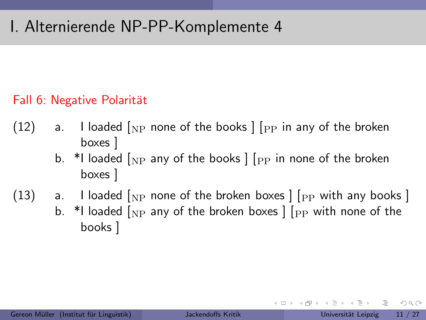#### Fall 6: Negative Polarität

- (12) a. I loaded  $\lceil_{\text{NP}}$  none of the books  $\lceil \lceil_{\text{PP}} \rceil$  in any of the broken boxes ]
	- b. \*I loaded  $\lceil_{\text{NP}}$  any of the books  $\lceil \cdot \rceil$  in none of the broken boxes ]
- (13) a. I loaded  $N_P$  none of the broken boxes  $\lceil P_P \rceil$  with any books  $\lceil P_P \rceil$ b. \*I loaded  $\lceil_{\text{NP}}$  any of the broken boxes  $\lceil \cdot \rceil$  with none of the books ]

 $OQ$ 

イ何 ト イヨ ト イヨト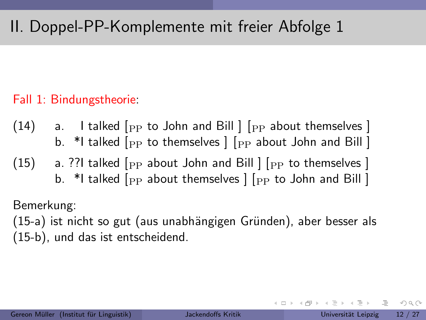#### Fall 1: Bindungstheorie:

- (14) a. I talked  $_{\rm [PP]}$  to John and Bill  $_{\rm [PP]}$  about themselves  $\rm ]$ b. \*I talked  $[$ <sub>PP</sub> to themselves  $]$   $[$ <sub>PP</sub> about John and Bill  $]$
- (15) a. ??I talked  $_{\rm PP}$  about John and Bill  $_{\rm [PP]}$  to themselves 1 b. \*I talked  $_{\rm PP}$  about themselves  $|$   $|_{\rm PP}$  to John and Bill  $|$

Bemerkung:

(15-a) ist nicht so gut (aus unabhängigen Gründen), aber besser als (15-b), und das ist entscheidend.

 $OQ$ 

イロト イ母ト イヨト イヨト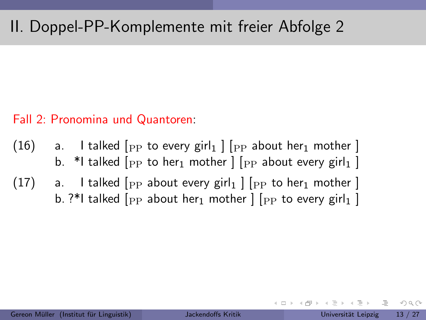#### Fall 2: Pronomina und Quantoren:

(16) a. I talked  $\lceil$ <sub>PP</sub> to every girl<sub>1</sub>  $\lceil$   $\rceil$ <sub>PP</sub> about her<sub>1</sub> mother  $\lceil$ b. \*I talked  $\lceil$ <sub>PP</sub> to her<sub>1</sub> mother  $\lceil \lceil_{PP}$  about every girl<sub>1</sub>  $\lceil$  $(17)$  a. I talked  $[$ PP about every girl<sub>1</sub>  $]$   $[$ PP to her<sub>1</sub> mother  $]$ b. ?\*I talked  $_{\rm [PP]}$  about her<sub>1</sub> mother  $|$   $|_{\rm PP}$  to every girl<sub>1</sub>  $|$ 

 $OQ$ 

- 4 母 ト 4 ヨ ト 4 ヨ ト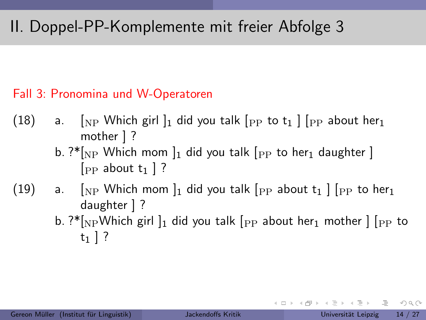#### Fall 3: Pronomina und W-Operatoren

- (18) a.  $\lceil N_P \text{ Which girl } \rceil_1$  did you talk  $\lceil P_P \rceil_1$  to  $t_1$   $\lceil P_P \rceil_1$  about her mother ] ?
	- b.  $?*[N]$  Which mom  $]_1$  did you talk  $[p]$  to her<sub>1</sub> daughter ] [PP about  $t_1$  ] ?
- (19) a.  $\lceil NP \text{ Which mom } \rceil_1$  did you talk  $\lceil PP \text{ about } t_1 \rceil$   $\lceil PP \text{ to her}_1 \rceil_2$ daughter ] ?
	- b. ?\* $\lceil N \rceil$ <sub>NP</sub>Which girl  $\lceil n \rceil$  did you talk  $\lceil p \rceil$  about her<sub>1</sub> mother  $\lceil p \rceil$  to  $t_1$  | ?

 $\Omega$ 

イロト イ何 トイヨト イヨト 一旦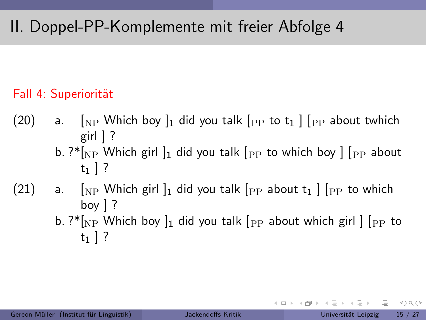#### Fall 4: Superiorität

- (20) a.  $\lceil NP \text{ Which boy } \rceil_1$  did you talk  $\lceil PP \text{ to } t_1 \rceil$   $\lceil PP \text{ about twhich} \rceil$ girl  $]$  ?
	- b. ?\* $\lceil N_P \rceil$  Which girl  $\lceil n \rceil$  did you talk  $\lceil P_P \rceil$  to which boy  $\lceil P_P \rceil$  about  $t_1$  ] ?
- (21) a.  $\lceil NP \text{ Which girl } \rceil_1$  did you talk  $\lceil PP \rceil_2$  about  $t_1$   $\lceil PP \rceil_2$  to which boy ] ?
	- b. ?\* $\lceil N \rceil$  Which boy  $\lceil n \rceil$  did you talk  $\lceil p \rceil$  about which girl  $\lceil p \rceil$  to  $t_1$  | ?

 $\equiv$   $\cap$   $\alpha$   $\sim$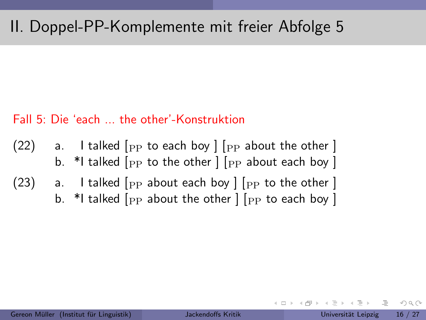#### Fall 5: Die 'each ... the other'-Konstruktion

- (22) a. I talked  $\lceil$ <sub>PP</sub> to each boy  $\rceil$   $\lceil$ <sub>PP</sub> about the other  $\rceil$ b. \*I talked  $[$ <sub>PP</sub> to the other  $]$   $[$ <sub>PP</sub> about each boy  $]$
- (23) a. I talked  $[$ PP about each boy  $]$   $[$ PP to the other  $]$ b. \*I talked  $_{\rm PP}$  about the other  $|_{\rm PP}$  to each boy  $|$

 $OQ$ 

イ何 ト イヨ ト イヨト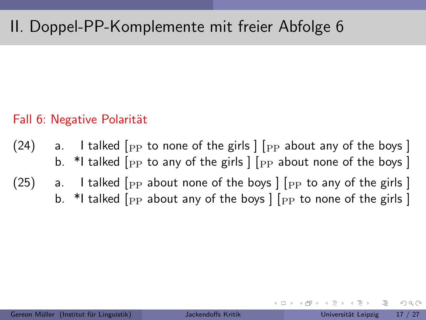#### Fall 6: Negative Polarität

- (24) a. I talked  $\lceil$  pp to none of the girls  $\lceil$  pp about any of the boys  $\rceil$ b. \*I talked  $_{\rm PP}$  to any of the girls  $|_{\rm PP}$  about none of the boys  $|$  $(25)$  a. I talked  $[$ <sub>PP</sub> about none of the boys  $]$   $[$ <sub>PP</sub> to any of the girls  $]$ 
	- b. \*I talked  $[$ <sub>PP</sub> about any of the boys  $]$   $[$ <sub>PP</sub> to none of the girls  $]$

 $OQ$ 

- 4 母 ト 4 ヨ ト 4 ヨ ト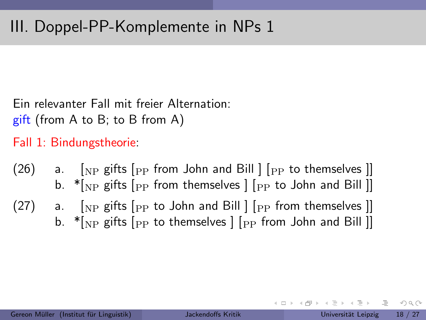Ein relevanter Fall mit freier Alternation:

gift (from A to B; to B from A)

Fall 1: Bindungstheorie:

(26) a. [NP gifts [PP from John and Bill ] [PP to themselves ]] b.  $*$ [NP gifts [PP from themselves ] [PP to John and Bill ]] (27) a.  $\lceil_{NP}$  gifts  $\lceil_{PP}$  to John and Bill  $\rceil$   $\lceil_{PP}$  from themselves  $\rceil$ b.  $*$ [NP gifts [PP to themselves  $|$  [PP from John and Bill ]]

 $OQ$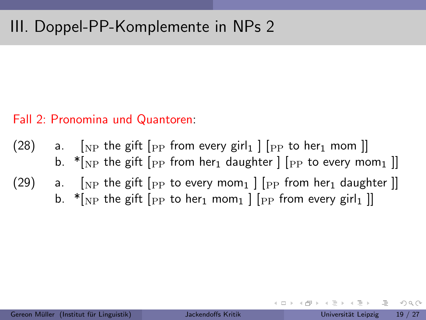## III. Doppel-PP-Komplemente in NPs 2

#### Fall 2: Pronomina und Quantoren:

- (28) a. [NP the gift [PP from every girl<sub>1</sub> ] [PP to her<sub>1</sub> mom ]] b.  $*$ [<sub>NP</sub> the gift [<sub>PP</sub> from her<sub>1</sub> daughter ] [<sub>PP</sub> to every mom<sub>1</sub> ]]
- (29) a. [NP the gift [PP to every mom<sub>1</sub> ] [PP from her<sub>1</sub> daughter ]] b.  $*_{N}$  the gift  $_{\text{PP}}$  to her<sub>1</sub> mom<sub>1</sub>  $_{\text{PP}}$  from every girl<sub>1</sub> ]

 $\Omega$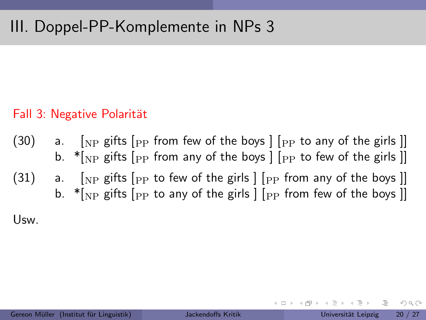### III. Doppel-PP-Komplemente in NPs 3

#### Fall 3: Negative Polarität

(30) a.  $\lceil NP \rceil$  gifts  $\lceil PP \rceil$  from few of the boys  $\lceil PP \rceil$  to any of the girls  $\lceil P \rceil$ b.  $*$ [NP gifts [PP from any of the boys ] [PP to few of the girls ]] (31) a.  $\lceil NP \rceil$  gifts  $\lceil PP \rceil$  to few of the girls  $\lceil PP \rceil$  from any of the boys  $\lceil P \rceil$ b.  $*$ [NP gifts [PP to any of the girls  $|$  [PP from few of the boys ]]

Usw.

 $OQ$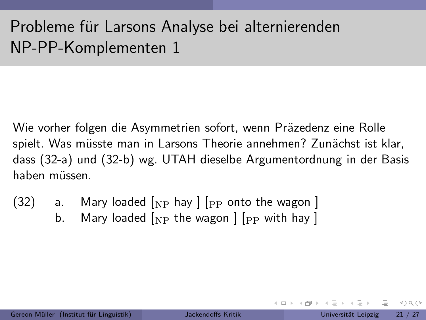# Probleme für Larsons Analyse bei alternierenden NP-PP-Komplementen 1

Wie vorher folgen die Asymmetrien sofort, wenn Präzedenz eine Rolle spielt. Was müsste man in Larsons Theorie annehmen? Zunächst ist klar, dass (32-a) und (32-b) wg. UTAH dieselbe Argumentordnung in der Basis haben müssen.

- $(32)$  a. Mary loaded  $_{\rm NP}$  hay  $_{\rm [PP]}$  onto the wagon  $_{\rm [NP]}$ 
	- b. Mary loaded  $\lceil_{\text{NP}}$  the wagon  $\rceil$   $\lceil_{\text{PP}}$  with hay  $\rceil$

 $OQ$ 

イ何 ト イヨ ト イヨ ト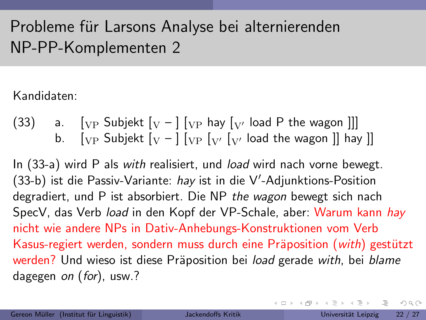# Probleme für Larsons Analyse bei alternierenden NP-PP-Komplementen 2

#### Kandidaten:

(33) a. 
$$
[VP \text{ Subjekt } [V - ] [VP \text{ hay } [V' \text{ load } P \text{ the wagon }]]]
$$
 b.  $[VP \text{ Subjekt } [V - ] [VP [V' \text{ load the wagon }]] \text{ hay }]]$ 

In (33-a) wird P als with realisiert, und *load* wird nach vorne bewegt. (33-b) ist die Passiv-Variante: hay ist in die V'-Adjunktions-Position degradiert, und P ist absorbiert. Die NP the wagon bewegt sich nach SpecV, das Verb load in den Kopf der VP-Schale, aber: Warum kann hay nicht wie andere NPs in Dativ-Anhebungs-Konstruktionen vom Verb Kasus-regiert werden, sondern muss durch eine Präposition (with) gestützt werden? Und wieso ist diese Präposition bei *load* gerade with, bei blame dagegen on (for), usw.?

 $OQ$ 

イロト イ母ト イヨト イヨト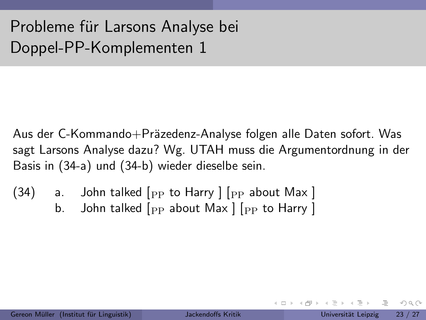Aus der C-Kommando+Präzedenz-Analyse folgen alle Daten sofort. Was sagt Larsons Analyse dazu? Wg. UTAH muss die Argumentordnung in der Basis in (34-a) und (34-b) wieder dieselbe sein.

 $(34)$  a. John talked  $[$ PP to Harry  $]$   $[$ PP about Max  $]$ b. John talked  $_{\rm PP}$  about Max  $\mid$   $_{\rm PP}$  to Harry  $\mid$ 

 $OQ$ 

イ何 ト イヨ ト イヨ ト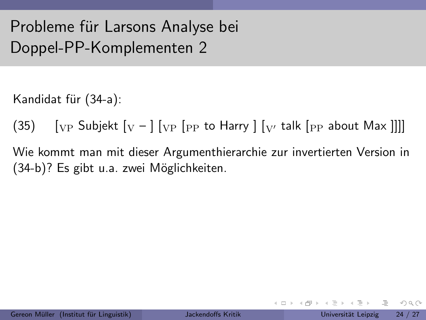Kandidat für (34-a):

(35)  $\left[\begin{array}{cc} V_P \end{array}\right]$  Subjekt  $\left[\begin{array}{cc} V - \end{array}\right]$   $\left[\begin{array}{cc} V_P \end{array}\right]$  for Harry  $\left[\begin{array}{cc} V_V \end{array}\right]$  talk  $\left[\begin{array}{cc} P_P \end{array}\right]$  about Max  $\left[\begin{array}{cc} W \end{array}\right]$ 

Wie kommt man mit dieser Argumenthierarchie zur invertierten Version in  $(34-b)$ ? Es gibt u.a. zwei Möglichkeiten.

イタト イミト イミト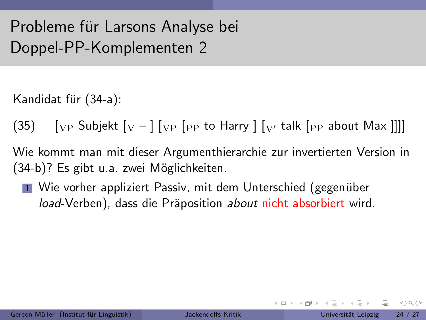Kandidat für (34-a):

(35)  $\left[\begin{array}{cc} V_P \end{array}\right]$  Subjekt  $\left[\begin{array}{cc} V - \end{array}\right]$   $\left[\begin{array}{cc} V_P \end{array}\right]$  for Harry  $\left[\begin{array}{cc} V_V \end{array}\right]$  talk  $\left[\begin{array}{cc} P_P \end{array}\right]$  about Max  $\left[\begin{array}{cc} W \end{array}\right]$ 

Wie kommt man mit dieser Argumenthierarchie zur invertierten Version in  $(34-b)$ ? Es gibt u.a. zwei Möglichkeiten.

 $\blacksquare$  Wie vorher appliziert Passiv, mit dem Unterschied (gegenüber load-Verben), dass die Präposition about nicht absorbiert wird.

 $OQ$ 

イタト イミト イミト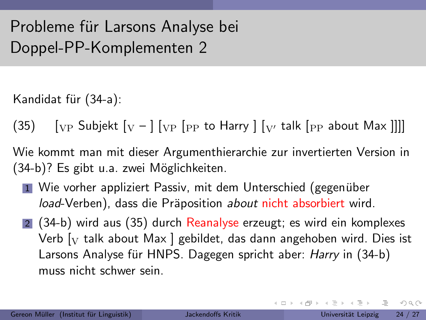Kandidat für (34-a):

(35)  $\left[\begin{array}{cc} V_P \end{array}\right]$  Subjekt  $\left[\begin{array}{cc} V - \end{array}\right]$   $\left[\begin{array}{cc} V_P \end{array}\right]$  for Harry  $\left[\begin{array}{cc} V_V \end{array}\right]$  talk  $\left[\begin{array}{cc} P_P \end{array}\right]$  about Max  $\left[\begin{array}{cc} W \end{array}\right]$ 

Wie kommt man mit dieser Argumenthierarchie zur invertierten Version in  $(34-b)$ ? Es gibt u.a. zwei Möglichkeiten.

- $\blacksquare$  Wie vorher appliziert Passiv, mit dem Unterschied (gegenüber load-Verben), dass die Präposition about nicht absorbiert wird.
- 2 (34-b) wird aus (35) durch Reanalyse erzeugt; es wird ein komplexes Verb  $\lceil_{\rm V}$  talk about Max  $\lceil$  gebildet, das dann angehoben wird. Dies ist Larsons Analyse für HNPS. Dagegen spricht aber: *Harry* in (34-b) muss nicht schwer sein.

(三)  $OQ$ 

지금 지수는 지금 지수는 지도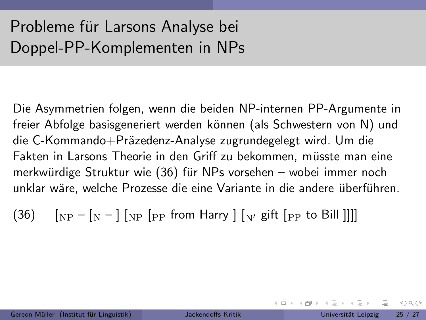Die Asymmetrien folgen, wenn die beiden NP-internen PP-Argumente in freier Abfolge basisgeneriert werden können (als Schwestern von N) und die C-Kommando+Präzedenz-Analyse zugrundegelegt wird. Um die Fakten in Larsons Theorie in den Griff zu bekommen, müsste man eine merkwürdige Struktur wie (36) für NPs vorsehen – wobei immer noch unklar wäre, welche Prozesse die eine Variante in die andere überführen.

 $(36)$   $\left[\begin{smallmatrix} 0 & -1 \end{smallmatrix}\right]$   $\left[\begin{smallmatrix} 0 & -1 \end{smallmatrix}\right]$   $\left[\begin{smallmatrix} 0 & -1 \end{smallmatrix}\right]$   $\left[\begin{smallmatrix} 0 & -1 \end{smallmatrix}\right]$   $\left[\begin{smallmatrix} 0 & -1 \end{smallmatrix}\right]$   $\left[\begin{smallmatrix} 0 & -1 \end{smallmatrix}\right]$   $\left[\begin{smallmatrix} 0 & -1 \end{smallmatrix}\right]$   $\left[\begin{smallmatrix} 0 & -1 \end{smallmatrix}\right]$   $\left[\begin{smallmatrix} 0 & -1 \end{smallmatrix}\right]$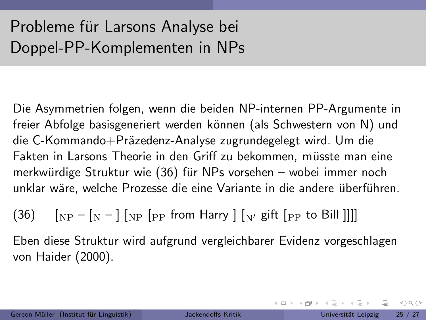Die Asymmetrien folgen, wenn die beiden NP-internen PP-Argumente in freier Abfolge basisgeneriert werden können (als Schwestern von N) und die C-Kommando+Präzedenz-Analyse zugrundegelegt wird. Um die Fakten in Larsons Theorie in den Griff zu bekommen, müsste man eine merkwürdige Struktur wie (36) für NPs vorsehen – wobei immer noch unklar wäre, welche Prozesse die eine Variante in die andere überführen.

 $(36)$   $\left[\frac{N}{N} - \left[\frac{N}{N}\right]\right]$  [PP from Harry  $\left[\frac{N}{N}\right]$  gift  $\left[\frac{N}{N}\right]$  to Bill  $\left[\frac{N}{N}\right]$ 

Eben diese Struktur wird aufgrund vergleichbarer Evidenz vorgeschlagen von Haider (2000).

 $OQ$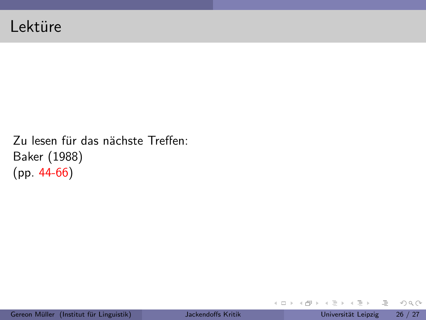Zu lesen für das nächste Treffen: Baker (1988) (pp. 44-66)

 $\equiv$  +

イロト イ部 トイヨトイ

 $\equiv$